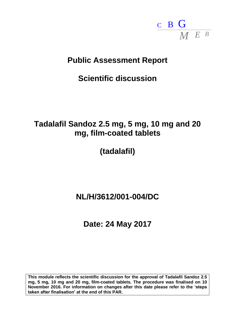

# **Public Assessment Report**

# **Scientific discussion**

# **Tadalafil Sandoz 2.5 mg, 5 mg, 10 mg and 20 mg, film-coated tablets**

# **(tadalafil)**

# **NL/H/3612/001-004/DC**

# **Date: 24 May 2017**

**This module reflects the scientific discussion for the approval of Tadalafil Sandoz 2.5 mg, 5 mg, 10 mg and 20 mg, film-coated tablets. The procedure was finalised on 10 November 2016. For information on changes after this date please refer to the 'steps taken after finalisation' at the end of this PAR.**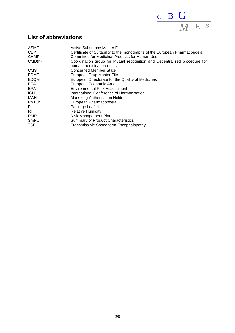

# **List of abbreviations**

| <b>ASMF</b><br><b>CEP</b> | Active Substance Master File<br>Certificate of Suitability to the monographs of the European Pharmacopoeia |
|---------------------------|------------------------------------------------------------------------------------------------------------|
| <b>CHMP</b>               | Committee for Medicinal Products for Human Use                                                             |
| CMD(h)                    | Coordination group for Mutual recognition and Decentralised procedure for<br>human medicinal products      |
| <b>CMS</b>                | <b>Concerned Member State</b>                                                                              |
| <b>EDMF</b>               | European Drug Master File                                                                                  |
| <b>EDQM</b>               | European Directorate for the Quality of Medicines                                                          |
| EEA                       | European Economic Area                                                                                     |
| <b>ERA</b>                | <b>Environmental Risk Assessment</b>                                                                       |
| <b>ICH</b>                | International Conference of Harmonisation                                                                  |
| MAH                       | <b>Marketing Authorisation Holder</b>                                                                      |
| Ph.Eur.                   | European Pharmacopoeia                                                                                     |
| PL                        | Package Leaflet                                                                                            |
| <b>RH</b>                 | <b>Relative Humidity</b>                                                                                   |
| <b>RMP</b>                | Risk Management Plan                                                                                       |
| <b>SmPC</b>               | <b>Summary of Product Characteristics</b>                                                                  |
| <b>TSE</b>                | Transmissible Spongiform Encephalopathy                                                                    |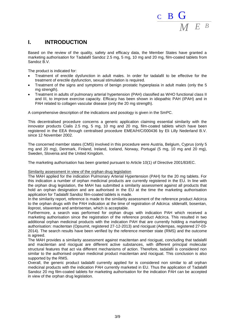

# **I. INTRODUCTION**

Based on the review of the quality, safety and efficacy data, the Member States have granted a marketing authorisation for Tadalafil Sandoz 2.5 mg, 5 mg, 10 mg and 20 mg, film-coated tablets from Sandoz B.V.

The product is indicated for:

- Treatment of erectile dysfunction in adult males. In order for tadalafil to be effective for the treatment of erectile dysfunction, sexual stimulation is required.
- Treatment of the signs and symptoms of benign prostatic hyperplasia in adult males (only the 5 mg strength).
- Treatment in adults of pulmonary arterial hypertension (PAH) classified as WHO functional class II and III, to improve exercise capacity. Efficacy has been shown in idiopathic PAH (IPAH) and in PAH related to collagen vascular disease (only the 20 mg strength).

A comprehensive description of the indications and posology is given in the SmPC.

This decentralised procedure concerns a generic application claiming essential similarity with the innovator products Cialis 2.5 mg, 5 mg, 10 mg and 20 mg, film-coated tablets which have been registered in the EEA through centralised procedure EMEA/H/C/000436 by Eli Lilly Nederland B.V. since 12 November 2002.

The concerned member states (CMS) involved in this procedure were Austria, Belgium, Cyprus (only 5 mg and 20 mg), Denmark, Finland, Ireland, Iceland, Norway, Portugal (5 mg, 10 mg and 20 mg), Sweden, Slovenia and the United Kingdom.

The marketing authorisation has been granted pursuant to Article 10(1) of Directive 2001/83/EC.

Similarity assessment in view of the orphan drug legislation

The MAH applied for the indication Pulmonary Arterial Hypertension (PAH) for the 20 mg tablets. For this indication a number of orphan medicinal products are currently registered in the EU. In line with the orphan drug legislation, the MAH has submitted a similarity assessment against all products that hold an orphan designation and are authorised in the EU at the time the marketing authorisation application for Tadalafil Sandoz film-coated tablets is made.

In the similarity report, reference is made to the similarity assessment of the reference product Adcirca to the orphan drugs with the PAH indication at the time of registration of Adcirca: sildenafil, bosentan, iloprost, sitaxentan and ambrisentan, which is acceptable.

Furthermore, a search was performed for orphan drugs with indication PAH which received a marketing authorisation since the registration of the reference product Adcirca. This resulted in two additional orphan medicinal products with the indication PAH that are currently holding a marketing authorisation: macitentan (Opsumit, registered 27-12-2013) and riociguat (Adempas, registered 27-03- 2014). The search results have been verified by the reference member state (RMS) and the outcome is agreed.

The MAH provides a similarity assessment against macitentan and riociguat, concluding that tadalafil and macitentan and riociguat are different active substances, with different principal molecular structural features that act via different mechanisms of action. Therefore, tadalafil is considered non similar to the authorised orphan medicinal product macitentan and riociguat. This conclusion is also supported by the RMS.

Overall, the generic product tadalafil currently applied for is considered non similar to all orphan medicinal products with the indication PAH currently marketed in EU. Thus the application of Tadalafil Sandoz 20 mg film-coated tablets for marketing authorisation for the indication PAH can be accepted in view of the orphan drug legislation.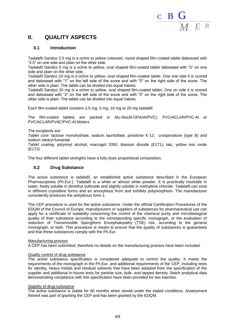

# **II. QUALITY ASPECTS**

## **II.1 Introduction**

Tadalafil Sandoz 2.5 mg is a ochre to yellow coloured, round shaped film-coated tablet debossed with "2.5" on one side and plain on the other side.

Tadalafil Sandoz 5 mg is a ochre to yellow, oval shaped film-coated tablet debossed with "5" on one side and plain on the other side.

Tadalafil Sandoz 10 mg is a ochre to yellow, oval shaped film-coated tablet. One one side it is scored and debossed with "1" on the left side of the score and with "0" on the right side of the score. The other side is plain. The tablet can be divided into equal halves.

Tadalafil Sandoz 20 mg is a ochre to yellow, oval shaped film-coated tablet. One on side it is scored and debossed with "2" on the left side of the score and with "0" on the right side of the score. The other side is plain. The tablet can be divided into equal halves.

Each film-coated tablet contains 2.5 mg, 5 mg, 10 mg or 20 mg tadalafil.

The film-coated tablets are packed in Alu-Alu(Al-OPA/Al/PVC), PVC/ACLAR/PVC-Al or PVC/ACLAR/PVdC/PVC-Al blisters

The excipients are:

*Tablet core*: lactose monohydrate, sodium laurilsilfate, povidone K-12, crospovidone (type B) and sodium stearyl fumarate

*Tablet coating*: polyvinyl alcohol, macrogol 3350, titanium dioxide (E171), talc, yellow iron oxide (E172)

The four different tablet strengths have a fully dose proportional composition.

## **II.2 Drug Substance**

The active substance is tadalafil, an established active substance described in the European Pharmacopoeia (Ph.Eur.). Tadalafil is a white or almost white powder. It is practically insoluble in water, freely soluble in dimethyl sulfoxide and slightly soluble in methylene chloride. Tadalafil can exist in different crystalline forms and an amorphous from and exhibits polymorphism. The manufacturer consistently produces the anhydrous form-1.

The CEP procedure is used for the active substance. Under the official Certification Procedures of the EDQM of the Council of Europe, manufacturers or suppliers of substances for pharmaceutical use can apply for a certificate of suitability concerning the control of the chemical purity and microbiological quality of their substance according to the corresponding specific monograph, or the evaluation of reduction of Transmissible Spongiform Encephalopathy (TSE) risk, according to the general monograph, or both. This procedure is meant to ensure that the quality of substances is guaranteed and that these substances comply with the Ph.Eur.

#### Manufacturing process

A CEP has been submitted; therefore no details on the manufacturing process have been included.

### Quality control of drug substance

The active substance specification is considered adequate to control the quality. It meets the requirements of the monograph in the Ph.Eur. and additional requirements of the CEP, including tests for identity, heavy metals and residual solvents that have been adopted from the specification of the supplier and additional in-house tests for particle size, bulk- and tapped density. Batch analytical data demonstrating compliance with this specification have been provided for two batches.

#### Stability of drug substance

The active substance is stable for 60 months when stored under the stated conditions. Assessment thereof was part of granting the CEP and has been granted by the EDQM.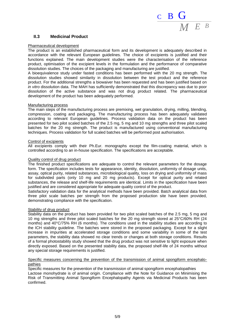

## **II.3 Medicinal Product**

#### Pharmaceutical development

The product is an established pharmaceutical form and its development is adequately described in accordance with the relevant European guidelines. The choice of excipients is justified and their functions explained. The main development studies were the characterisation of the reference product, optimisation of the excipient levels in the formulation and the performance of comparative dissolution studies. The choices of the packaging and manufacturing are justified.

A bioequivalence study under fasted conditions has been performed with the 20 mg strength. The dissolution studies showed similarity in dissolution between the test product and the reference product. For the additional strengths a biowaiver has been requested and has been justified based on *in vitro* dissolution data. The MAH has sufficiently demonstrated that this discrepancy was due to poor dissolution of the active substance and was not drug product related. The pharmaceutical development of the product has been adequately performed.

#### Manufacturing process

The main steps of the manufacturing process are premixing, wet granulation, drying, milling, blending, compression, coating and packaging. The manufacturing process has been adequately validated according to relevant European guidelines. Process validation data on the product has been presented for two pilot scaled batches of the 2.5 mg, 5 mg and 10 mg strengths and three pilot scaled batches for the 20 mg strength. The product is manufactured using conventional manufacturing techniques. Process validation for full scaled batches will be performed post authorisation.

#### Control of excipients

All excipients comply with their Ph.Eur. monographs except the film-coating material, which is controlled according to an in-house specification. The specifications are acceptable.

#### Quality control of drug product

The finished product specifications are adequate to control the relevant parameters for the dosage form. The specification includes tests for appearance, identity, dissolution, uniformity of dosage units, assay, optical purity, related substances, microbiological quality, loss on drying and uniformity of mass for subdivided parts (only 10 mg and 20 mg products). Except for optical purity and related substances, the release and shelf-life requirements are identical. Limits in the specification have been justified and are considered appropriate for adequate quality control of the product.

Satisfactory validation data for the analytical methods have been provided. Batch analytical data from three pilot scale batches per strength from the proposed production site have been provided, demonstrating compliance with the specification.

#### Stability of drug product

Stability data on the product has been provided for two pilot scaled batches of the 2.5 mg, 5 mg and 10 mg strengths and three pilot scaled batches for the 20 mg strength stored at 25°C/60% RH (24 months) and 40°C/75% RH (6 months). The conditions used in the stability studies are according to the ICH stability guideline. The batches were stored in the proposed packaging. Except for a slight increase in impurities at accelerated storage conditions and some variability in some of the test parameters, the stability data showed no clear trends or changes at both storage conditions. Results of a formal photostability study showed that the drug product was not sensitive to light exposure when directly exposed. Based on the presented stability data, the proposed shelf-life of 24 months without any special storage requirements is justified.

#### Specific measures concerning the prevention of the transmission of animal spongiform encephalopathies

Specific measures for the prevention of the transmission of animal spongiform encephalopathies Lactose monohydrate is of animal origin. Compliance with the Note for Guidance on Minimising the Risk of Transmitting Animal Spongiform Encephalopathy Agents via Medicinal Products has been confirmed.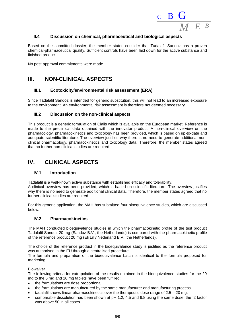

## **II.4 Discussion on chemical, pharmaceutical and biological aspects**

Based on the submitted dossier, the member states consider that Tadalafil Sandoz has a proven chemical-pharmaceutical quality. Sufficient controls have been laid down for the active substance and finished product.

No post-approval commitments were made.

# **III. NON-CLINICAL ASPECTS**

## **III.1 Ecotoxicity/environmental risk assessment (ERA)**

Since Tadalafil Sandoz is intended for generic substitution, this will not lead to an increased exposure to the environment. An environmental risk assessment is therefore not deemed necessary.

## **III.2 Discussion on the non-clinical aspects**

This product is a generic formulation of Cialis which is available on the European market. Reference is made to the preclinical data obtained with the innovator product. A non-clinical overview on the pharmacology, pharmacokinetics and toxicology has been provided, which is based on up-to-date and adequate scientific literature. The overview justifies why there is no need to generate additional nonclinical pharmacology, pharmacokinetics and toxicology data. Therefore, the member states agreed that no further non-clinical studies are required.

# **IV. CLINICAL ASPECTS**

### **IV.1 Introduction**

Tadalafil is a well-known active substance with established efficacy and tolerability.

A clinical overview has been provided, which is based on scientific literature. The overview justifies why there is no need to generate additional clinical data. Therefore, the member states agreed that no further clinical studies are required.

For this generic application, the MAH has submitted four bioequivalence studies, which are discussed below.

## **IV.2 Pharmacokinetics**

The MAH conducted bioequivalence studies in which the pharmacokinetic profile of the test product Tadalafil Sandoz 20 mg (Sandoz B.V., the Netherlands) is compared with the pharmacokinetic profile of the reference product 20 mg (Eli Lilly Nederland B.V., the Netherlands).

The choice of the reference product in the bioequivalence study is justified as the reference product was authorised in the EU through a centralised procedure.

The formula and preparation of the bioequivalence batch is identical to the formula proposed for marketing.

### Biowaiver

The following criteria for extrapolation of the results obtained in the bioequivalence studies for the 20 mg to the 5 mg and 10 mg tablets have been fulfilled:

- the formulations are dose proportional.
- the formulations are manufactured by the same manufacturer and manufacturing process.
- tadalafil shows linear pharmacokinetics over the therapeutic dose range of 2.5 20 mg.
- comparable dissolution has been shown at pH 1.2, 4.5 and 6.8 using the same dose; the f2 factor was above 50 in all cases.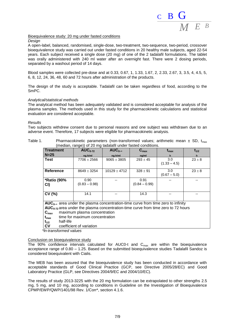

Bioequivalence study: 20 mg under fasted conditions

#### *Design*

A open-label, balanced, randomised, single-dose, two-treatment, two-sequence, two-period, crossover bioequivalence study was carried out under fasted conditions in 20 healthy male subjects, aged 22-54 years. Each subject received a single dose (20 mg) of one of the 2 tadalafil formulations. The tablet was orally administered with 240 ml water after an overnight fast. There were 2 dosing periods, separated by a washout period of 14 days.

Blood samples were collected pre-dose and at 0.33, 0.67, 1, 1.33, 1.67, 2, 2.33, 2.67, 3, 3.5, 4, 4.5, 5, 6, 8, 12, 24, 36, 48, 60 and 72 hours after administration of the products.

The design of the study is acceptable. Tadalafil can be taken regardless of food, according to the SmPC.

#### *Analytical/statistical methods*

The analytical method has been adequately validated and is considered acceptable for analysis of the plasma samples. The methods used in this study for the pharmacokinetic calculations and statistical evaluation are considered acceptable.

#### *Results*

Two subjects withdrew consent due to personal reasons and one subject was withdrawn due to an adverse event. Therefore, 17 subjects were eligible for pharmacokinetic analysis.

Table 1. Pharmacokinetic parameters (non-transformed values; arithmetic mean  $\pm$  SD,  $t_{max}$ (median, range)) of 20 mg tadalafil under fasted conditions.

| <b>Treatment</b>                                                                       | $AUC_{0-72}$                                                                        | $AUC_{0-\infty}$ | $C_{\text{max}}$ | $t_{\rm max}$         | $t_{1/2}$  |  |  |  |
|----------------------------------------------------------------------------------------|-------------------------------------------------------------------------------------|------------------|------------------|-----------------------|------------|--|--|--|
| $N=25$                                                                                 | ng.h/ml                                                                             | ng.h/ml          | ng/ml            |                       |            |  |  |  |
| <b>Test</b>                                                                            | 7706 ± 2566                                                                         | $9065 \pm 3805$  | $293 \pm 45$     | 3.0<br>$(1.33 - 4.5)$ | $23 \pm 8$ |  |  |  |
|                                                                                        |                                                                                     |                  |                  |                       |            |  |  |  |
| <b>Reference</b>                                                                       | $8649 \pm 3254$                                                                     | $10129 \pm 4712$ | $328 \pm 91$     | 3.0                   | $23 \pm 8$ |  |  |  |
|                                                                                        |                                                                                     |                  |                  | $(0.67 - 5.0)$        |            |  |  |  |
| <b>*Ratio (90%</b>                                                                     | 0.90                                                                                |                  | 0.91             |                       |            |  |  |  |
| CI)                                                                                    | $(0.83 - 0.98)$                                                                     |                  | $(0.84 - 0.99)$  |                       |            |  |  |  |
|                                                                                        |                                                                                     |                  |                  |                       |            |  |  |  |
| CV(%)                                                                                  | 14.1                                                                                |                  | 14.3             |                       |            |  |  |  |
|                                                                                        |                                                                                     |                  |                  |                       |            |  |  |  |
|                                                                                        | $AUC_{0}$ area under the plasma concentration-time curve from time zero to infinity |                  |                  |                       |            |  |  |  |
| $AUC_{0.72}$ area under the plasma concentration-time curve from time zero to 72 hours |                                                                                     |                  |                  |                       |            |  |  |  |
| maximum plasma concentration<br>$C_{\text{max}}$                                       |                                                                                     |                  |                  |                       |            |  |  |  |
| time for maximum concentration<br>$t_{\text{max}}$                                     |                                                                                     |                  |                  |                       |            |  |  |  |
| half-life<br>$t_{1/2}$                                                                 |                                                                                     |                  |                  |                       |            |  |  |  |
| ∣ CV<br>coefficient of variation                                                       |                                                                                     |                  |                  |                       |            |  |  |  |

*\*ln-transformed values* 

#### Conclusion on bioequivalence study

The 90% confidence intervals calculated for AUC0-t and  $C_{\text{max}}$  are within the bioequivalence acceptance range of 0.80 – 1.25. Based on the submitted bioequivalence studies Tadalafil Sandoz is considered bioequivalent with Cialis.

The MEB has been assured that the bioequivalence study has been conducted in accordance with acceptable standards of Good Clinical Practice (GCP, see Directive 2005/28/EC) and Good Laboratory Practice (GLP, see Directives 2004/9/EC and 2004/10/EC).

The results of study 2013-3225 with the 20 mg formulation can be extrapolated to other strengths 2.5 mg, 5 mg, and 10 mg, according to conditions in Guideline on the Investigation of Bioequivalence CPMP/EWP/QWP/1401/98 Rev. 1/Corr\*, section 4.1.6.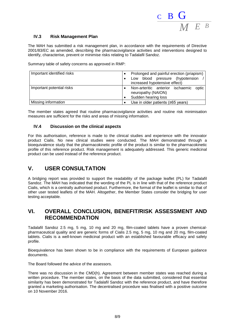

## **IV.3 Risk Management Plan**

The MAH has submitted a risk management plan, in accordance with the requirements of Directive 2001/83/EC as amended, describing the pharmacovigilance activities and interventions designed to identify, characterise, prevent or minimise risks relating to Tadalafil Sandoz.

Summary table of safety concerns as approved in RMP:

| Important identified risks | Prolonged and painful erection (priapism)<br>Low blood pressure (hypotension<br>increased hypotensive effect) |  |  |  |  |  |
|----------------------------|---------------------------------------------------------------------------------------------------------------|--|--|--|--|--|
| Important potential risks  | Non-arteritic anterior ischaemic optic<br>neuropathy (NAION)<br>Sudden hearing loss                           |  |  |  |  |  |
| Missing information        | Use in older patients ( $\geq$ 65 years)                                                                      |  |  |  |  |  |

The member states agreed that routine pharmacovigilance activities and routine risk minimisation measures are sufficient for the risks and areas of missing information.

## **IV.4 Discussion on the clinical aspects**

For this authorisation, reference is made to the clinical studies and experience with the innovator product Cialis. No new clinical studies were conducted. The MAH demonstrated through a bioequivalence study that the pharmacokinetic profile of the product is similar to the pharmacokinetic profile of this reference product. Risk management is adequately addressed. This generic medicinal product can be used instead of the reference product.

## **V. USER CONSULTATION**

A bridging report was provided to support the readability of the package leaflet (PL) for Tadalafil Sandoz. The MAH has indicated that the wording of the PL is in line with that of the reference product Cialis, which is a centrally authorised product. Furthermore, the format of the leaflet is similar to that of other user tested leaflets of the MAH. Altogether, the Member States consider the bridging for user testing acceptable.

## **VI. OVERALL CONCLUSION, BENEFIT/RISK ASSESSMENT AND RECOMMENDATION**

Tadalafil Sandoz 2.5 mg, 5 mg, 10 mg and 20 mg, film-coated tablets have a proven chemicalpharmaceutical quality and are generic forms of Cialis 2.5 mg, 5 mg, 10 mg and 20 mg, film-coated tablets. Cialis is a well-known medicinal product with an established favourable efficacy and safety profile.

Bioequivalence has been shown to be in compliance with the requirements of European guidance documents.

The Board followed the advice of the assessors.

There was no discussion in the CMD(h). Agreement between member states was reached during a written procedure. The member states, on the basis of the data submitted, considered that essential similarity has been demonstrated for Tadalafil Sandoz with the reference product, and have therefore granted a marketing authorisation. The decentralised procedure was finalised with a positive outcome on 10 November 2016.